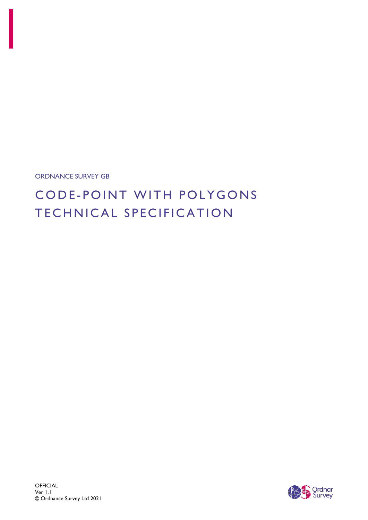ORDNANCE SURVEY GB

# CODE-POINT WITH POLYGONS TECHNICAL SPECIFICATION

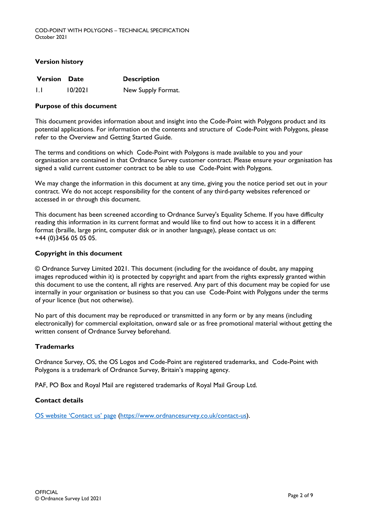#### **Version history**

| <b>Version Date</b> |         | <b>Description</b> |
|---------------------|---------|--------------------|
|                     | 10/2021 | New Supply Format. |

#### **Purpose of this document**

This document provides information about and insight into the Code-Point with Polygons product and its potential applications. For information on the contents and structure of Code-Point with Polygons, please refer to the Overview and Getting Started Guide.

The terms and conditions on which Code-Point with Polygons is made available to you and your organisation are contained in that Ordnance Survey customer contract. Please ensure your organisation has signed a valid current customer contract to be able to use Code-Point with Polygons.

We may change the information in this document at any time, giving you the notice period set out in your contract. We do not accept responsibility for the content of any third-party websites referenced or accessed in or through this document.

This document has been screened according to Ordnance Survey's Equality Scheme. If you have difficulty reading this information in its current format and would like to find out how to access it in a different format (braille, large print, computer disk or in another language), please contact us on: +44 (0)3456 05 05 05.

#### **Copyright in this document**

© Ordnance Survey Limited 2021. This document (including for the avoidance of doubt, any mapping images reproduced within it) is protected by copyright and apart from the rights expressly granted within this document to use the content, all rights are reserved. Any part of this document may be copied for use internally in your organisation or business so that you can use Code-Point with Polygons under the terms of your licence (but not otherwise).

No part of this document may be reproduced or transmitted in any form or by any means (including electronically) for commercial exploitation, onward sale or as free promotional material without getting the written consent of Ordnance Survey beforehand.

#### **Trademarks**

Ordnance Survey, OS, the OS Logos and Code-Point are registered trademarks, and Code-Point with Polygons is a trademark of Ordnance Survey, Britain's mapping agency.

PAF, PO Box and Royal Mail are registered trademarks of Royal Mail Group Ltd.

#### **Contact details**

[OS website 'Contact us' page](https://www.ordnancesurvey.co.uk/contact-us) [\(https://www.ordnancesurvey.co.uk/contact-us\)](https://www.ordnancesurvey.co.uk/contact-us).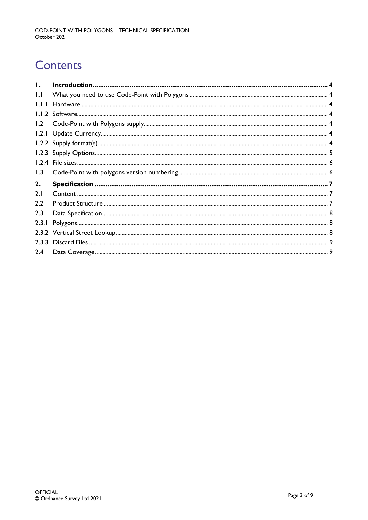# **Contents**

| $\mathbf{I}$ . |  |
|----------------|--|
| $  \cdot  $    |  |
| 1.1.1          |  |
|                |  |
| 1.2            |  |
|                |  |
|                |  |
|                |  |
|                |  |
| 1.3            |  |
| 2.             |  |
|                |  |
| 2.1            |  |
| 2.2            |  |
| 2.3            |  |
| 2.3.1          |  |
|                |  |
|                |  |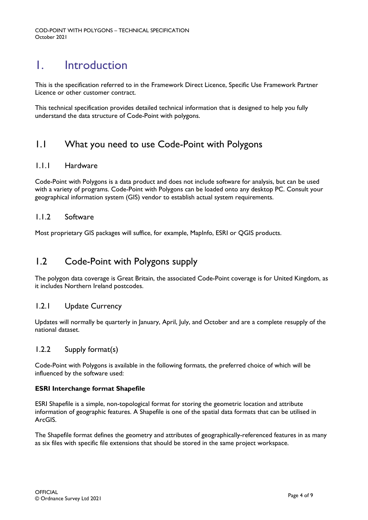## <span id="page-3-0"></span>1. Introduction

This is the specification referred to in the Framework Direct Licence, Specific Use Framework Partner Licence or other customer contract.

This technical specification provides detailed technical information that is designed to help you fully understand the data structure of Code-Point with polygons.

## <span id="page-3-1"></span>1.1 What you need to use Code-Point with Polygons

#### <span id="page-3-2"></span>1.1.1 Hardware

Code-Point with Polygons is a data product and does not include software for analysis, but can be used with a variety of programs. Code-Point with Polygons can be loaded onto any desktop PC. Consult your geographical information system (GIS) vendor to establish actual system requirements.

#### <span id="page-3-3"></span>1.1.2 Software

Most proprietary GIS packages will suffice, for example, MapInfo, ESRI or QGIS products.

### <span id="page-3-4"></span>1.2 Code-Point with Polygons supply

The polygon data coverage is Great Britain, the associated Code-Point coverage is for United Kingdom, as it includes Northern Ireland postcodes.

#### <span id="page-3-5"></span>1.2.1 Update Currency

Updates will normally be quarterly in January, April, July, and October and are a complete resupply of the national dataset.

#### <span id="page-3-6"></span>1.2.2 Supply format(s)

Code-Point with Polygons is available in the following formats, the preferred choice of which will be influenced by the software used:

#### **ESRI Interchange format Shapefile**

ESRI Shapefile is a simple, non-topological format for storing the geometric location and attribute information of geographic features. A Shapefile is one of the spatial data formats that can be utilised in ArcGIS.

The Shapefile format defines the geometry and attributes of geographically-referenced features in as many as six files with specific file extensions that should be stored in the same project workspace.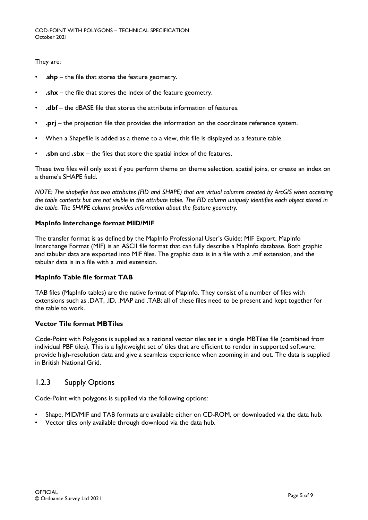They are:

- .shp the file that stores the feature geometry.
- **.shx** the file that stores the index of the feature geometry.
- **.dbf** the dBASE file that stores the attribute information of features.
- **.prj** the projection file that provides the information on the coordinate reference system.
- When a Shapefile is added as a theme to a view, this file is displayed as a feature table.
- **.sbn** and **.sbx** the files that store the spatial index of the features.

These two files will only exist if you perform theme on theme selection, spatial joins, or create an index on a theme's SHAPE field.

*NOTE: The shapefile has two attributes (FID and SHAPE) that are virtual columns created by ArcGIS when accessing the table contents but are not visible in the attribute table. The FID column uniquely identifies each object stored in the table. The SHAPE column provides information about the feature geometry.*

#### **MapInfo Interchange format MID/MIF**

The transfer format is as defined by the MapInfo Professional User's Guide: MIF Export. MapInfo Interchange Format (MIF) is an ASCII file format that can fully describe a MapInfo database. Both graphic and tabular data are exported into MIF files. The graphic data is in a file with a .mif extension, and the tabular data is in a file with a .mid extension.

#### **MapInfo Table file format TAB**

TAB files (MapInfo tables) are the native format of MapInfo. They consist of a number of files with extensions such as .DAT, .ID, .MAP and .TAB; all of these files need to be present and kept together for the table to work.

#### **Vector Tile format MBTiles**

Code-Point with Polygons is supplied as a national vector tiles set in a single MBTiles file (combined from individual PBF tiles). This is a lightweight set of tiles that are efficient to render in supported software, provide high-resolution data and give a seamless experience when zooming in and out. The data is supplied in British National Grid.

#### <span id="page-4-0"></span>1.2.3 Supply Options

Code-Point with polygons is supplied via the following options:

- Shape, MID/MIF and TAB formats are available either on CD-ROM, or downloaded via the data hub.
- Vector tiles only available through download via the data hub.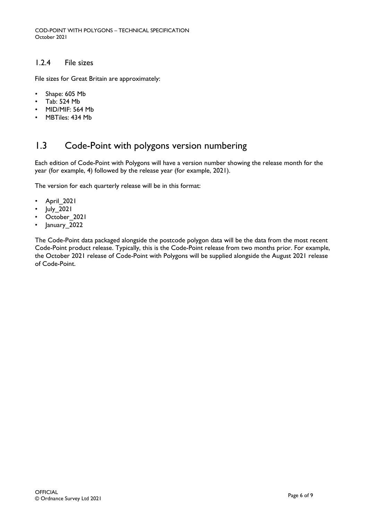#### <span id="page-5-0"></span>1.2.4 File sizes

File sizes for Great Britain are approximately:

- Shape: 605 Mb
- Tab: 524 Mb
- MID/MIF: 564 Mb
- MBTiles: 434 Mb

## <span id="page-5-1"></span>1.3 Code-Point with polygons version numbering

Each edition of Code-Point with Polygons will have a version number showing the release month for the year (for example, 4) followed by the release year (for example, 2021).

The version for each quarterly release will be in this format:

- April 2021
- July 2021
- October 2021
- January 2022

The Code-Point data packaged alongside the postcode polygon data will be the data from the most recent Code-Point product release. Typically, this is the Code-Point release from two months prior. For example, the October 2021 release of Code-Point with Polygons will be supplied alongside the August 2021 release of Code-Point.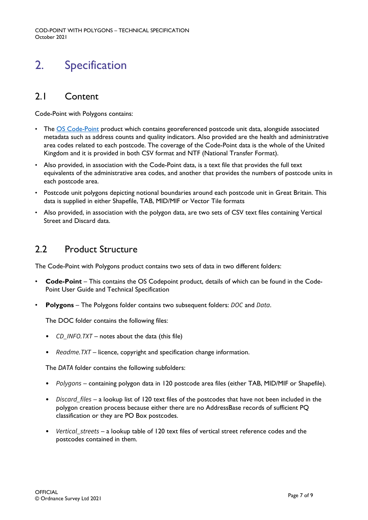## <span id="page-6-0"></span>2. Specification

## <span id="page-6-1"></span>2.1 Content

Code-Point with Polygons contains:

- The **OS Code-Point** product which contains georeferenced postcode unit data, alongside associated metadata such as address counts and quality indicators. Also provided are the health and administrative area codes related to each postcode. The coverage of the Code-Point data is the whole of the United Kingdom and it is provided in both CSV format and NTF (National Transfer Format).
- Also provided, in association with the Code-Point data, is a text file that provides the full text equivalents of the administrative area codes, and another that provides the numbers of postcode units in each postcode area.
- Postcode unit polygons depicting notional boundaries around each postcode unit in Great Britain. This data is supplied in either Shapefile, TAB, MID/MIF or Vector Tile formats
- Also provided, in association with the polygon data, are two sets of CSV text files containing Vertical Street and Discard data.

## <span id="page-6-2"></span>2.2 Product Structure

The Code-Point with Polygons product contains two sets of data in two different folders:

- **Code-Point** This contains the OS Codepoint product, details of which can be found in the Code-Point User Guide and Technical Specification
- **Polygons**  The Polygons folder contains two subsequent folders: *DOC* and *Data*.

The DOC folder contains the following files:

- *CD\_INFO.TXT* notes about the data (this file)
- *Readme.TXT* licence, copyright and specification change information.

The *DATA* folder contains the following subfolders:

- *Polygons* containing polygon data in 120 postcode area files (either TAB, MID/MIF or Shapefile).
- *Discard\_files* a lookup list of 120 text files of the postcodes that have not been included in the polygon creation process because either there are no AddressBase records of sufficient PQ classification or they are PO Box postcodes.
- *Vertical\_streets* a lookup table of 120 text files of vertical street reference codes and the postcodes contained in them.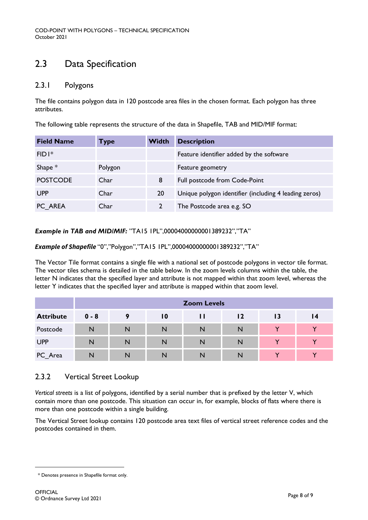## <span id="page-7-0"></span>2.3 Data Specification

#### <span id="page-7-1"></span>2.3.1 Polygons

The file contains polygon data in 120 postcode area files in the chosen format. Each polygon has three attributes.

The following table represents the structure of the data in Shapefile, TAB and MID/MIF format:

| <b>Field Name</b>  | Туре    | <b>Width</b> | <b>Description</b>                                    |
|--------------------|---------|--------------|-------------------------------------------------------|
| $FID$ <sup>*</sup> |         |              | Feature identifier added by the software              |
| Shape $*$          | Polygon |              | Feature geometry                                      |
| <b>POSTCODE</b>    | Char    | 8            | Full postcode from Code-Point                         |
| <b>UPP</b>         | Char    | 20           | Unique polygon identifier (including 4 leading zeros) |
| PC AREA            | Char    |              | The Postcode area e.g. SO                             |

*Example in TAB and MID/MIF:* "TA15 1PL",00004000000001389232","TA"

*Example of Shapefile* "0","Polygon","TA15 1PL",00004000000001389232","TA"

The Vector Tile format contains a single file with a national set of postcode polygons in vector tile format. The vector tiles schema is detailed in the table below. In the zoom levels columns within the table, the letter N indicates that the specified layer and attribute is not mapped within that zoom level, whereas the letter Y indicates that the specified layer and attribute is mapped within that zoom level.

|                  | <b>Zoom Levels</b> |   |    |   |    |              |              |
|------------------|--------------------|---|----|---|----|--------------|--------------|
| <b>Attribute</b> | $0 - 8$            | 9 | 10 | ш | 12 | 13           | 14           |
| Postcode         | N                  | N | N  | N | N  | $\checkmark$ |              |
| <b>UPP</b>       | N                  | N | N  | N | N  | $\checkmark$ | $\checkmark$ |
| PC_Area          | N                  | N | N  | N | N  |              |              |

#### <span id="page-7-2"></span>2.3.2 Vertical Street Lookup

*Vertical streets* is a list of polygons, identified by a serial number that is prefixed by the letter V, which contain more than one postcode. This situation can occur in, for example, blocks of flats where there is more than one postcode within a single building.

The Vertical Street lookup contains 120 postcode area text files of vertical street reference codes and the postcodes contained in them.

<span id="page-7-3"></span><sup>1</sup> \* Denotes presence in Shapefile format only.